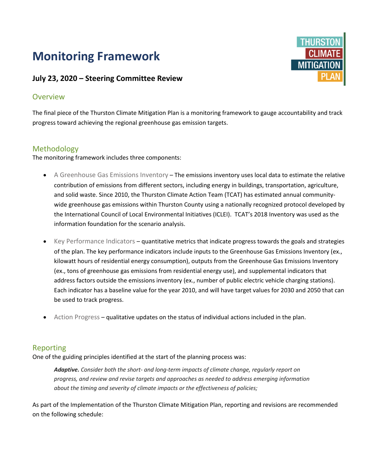# **Monitoring Framework**

## **July 23, 2020 – Steering Committee Review**

## Overview

The final piece of the Thurston Climate Mitigation Plan is a monitoring framework to gauge accountability and track progress toward achieving the regional greenhouse gas emission targets.

## Methodology

The monitoring framework includes three components:

- A Greenhouse Gas Emissions Inventory The emissions inventory uses local data to estimate the relative contribution of emissions from different sectors, including energy in buildings, transportation, agriculture, and solid waste. Since 2010, the Thurston Climate Action Team (TCAT) has estimated annual communitywide greenhouse gas emissions within Thurston County using a nationally recognized protocol developed by the International Council of Local Environmental Initiatives (ICLEI). TCAT's 2018 Inventory was used as the information foundation for the scenario analysis.
- Key Performance Indicators quantitative metrics that indicate progress towards the goals and strategies of the plan. The key performance indicators include inputs to the Greenhouse Gas Emissions Inventory (ex., kilowatt hours of residential energy consumption), outputs from the Greenhouse Gas Emissions Inventory (ex., tons of greenhouse gas emissions from residential energy use), and supplemental indicators that address factors outside the emissions inventory (ex., number of public electric vehicle charging stations). Each indicator has a baseline value for the year 2010, and will have target values for 2030 and 2050 that can be used to track progress.
- Action Progress qualitative updates on the status of individual actions included in the plan.

### Reporting

One of the guiding principles identified at the start of the planning process was:

*Adaptive. Consider both the short- and long-term impacts of climate change, regularly report on progress, and review and revise targets and approaches as needed to address emerging information about the timing and severity of climate impacts or the effectiveness of policies;* 

As part of the Implementation of the Thurston Climate Mitigation Plan, reporting and revisions are recommended on the following schedule: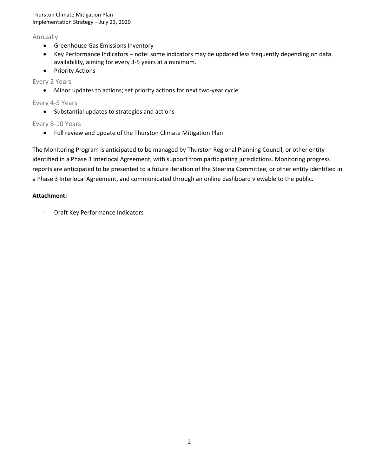Thurston Climate Mitigation Plan Implementation Strategy – July 23, 2020

#### Annually

- Greenhouse Gas Emissions Inventory
- Key Performance Indicators note: some indicators may be updated less frequently depending on data availability, aiming for every 3-5 years at a minimum.
- Priority Actions

#### Every 2 Years

• Minor updates to actions; set priority actions for next two-year cycle

#### Every 4-5 Years

• Substantial updates to strategies and actions

#### Every 8-10 Years

• Full review and update of the Thurston Climate Mitigation Plan

The Monitoring Program is anticipated to be managed by Thurston Regional Planning Council, or other entity identified in a Phase 3 Interlocal Agreement, with support from participating jurisdictions. Monitoring progress reports are anticipated to be presented to a future iteration of the Steering Committee, or other entity identified in a Phase 3 Interlocal Agreement, and communicated through an online dashboard viewable to the public.

#### **Attachment:**

- Draft Key Performance Indicators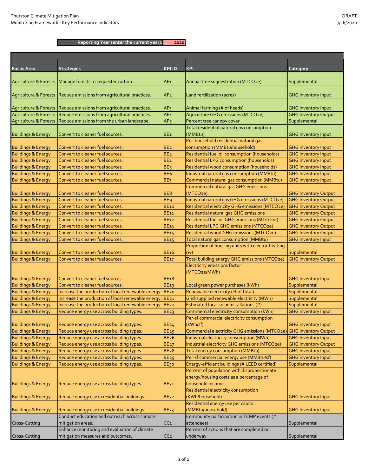**Reporting Year (enter the current year): 2020**

| <b>Focus Area</b>                | <b>Strategies</b>                                  | <b>KPIID</b>     | <b>KPI</b>                                               | Category                    |
|----------------------------------|----------------------------------------------------|------------------|----------------------------------------------------------|-----------------------------|
| <b>Agriculture &amp; Forests</b> | Manage forests to sequester carbon.                | AF1              | Annual tree sequestration (MTCO2e)                       | Supplemental                |
| <b>Agriculture &amp; Forests</b> | Reduce emissions from agricultural practices.      | AF <sub>2</sub>  | Land fertilization (acres)                               | <b>GHG Inventory Input</b>  |
| <b>Agriculture &amp; Forests</b> | Reduce emissions from agricultural practices.      | AF <sub>3</sub>  | Animal farming (# of heads)                              | <b>GHG Inventory Input</b>  |
| <b>Agriculture &amp; Forests</b> | Reduce emissions from agricultural practices.      | AF <sub>4</sub>  | Agriculture GHG emissions (MTCO2e)                       | <b>GHG Inventory Output</b> |
| <b>Agriculture &amp; Forests</b> | Reduce emissions from the urban landscape.         | AF <sub>5</sub>  | Percent tree canopy cover                                | Supplemental                |
| <b>Buildings &amp; Energy</b>    | Convert to cleaner fuel sources.                   | BE <sub>1</sub>  | Total residential natural gas consumption<br>(MMBtu)     | <b>GHG Inventory Input</b>  |
|                                  |                                                    |                  | Per-household residential natural gas                    |                             |
| <b>Buildings &amp; Energy</b>    | Convert to cleaner fuel sources.                   | BE <sub>2</sub>  | consumption (MMBtu/household)                            | <b>GHG Inventory Input</b>  |
| <b>Buildings &amp; Energy</b>    | Convert to cleaner fuel sources.                   | BE <sub>2</sub>  | Residential fuel oil consumption (households)            | <b>GHG Inventory Input</b>  |
| <b>Buildings &amp; Energy</b>    | Convert to cleaner fuel sources.                   | BE <sub>4</sub>  | Residential LPG consumption (households)                 | <b>GHG Inventory Input</b>  |
| <b>Buildings &amp; Energy</b>    | Convert to cleaner fuel sources.                   | BE <sub>5</sub>  | Residential wood consumption (households)                | <b>GHG Inventory Input</b>  |
| <b>Buildings &amp; Energy</b>    | Convert to cleaner fuel sources.                   | BE <sub>6</sub>  | Industrial natural gas consumption (MMBtu)               | <b>GHG Inventory Input</b>  |
| <b>Buildings &amp; Energy</b>    | Convert to cleaner fuel sources.                   | BE <sub>7</sub>  | Commercial natural gas consumption (MMBtu)               | <b>GHG Inventory Input</b>  |
|                                  |                                                    |                  | Commercial natural gas GHG emissions                     |                             |
| <b>Buildings &amp; Energy</b>    | Convert to cleaner fuel sources.                   | BE <sub>8</sub>  | (MTCO <sub>2e</sub> )                                    | <b>GHG Inventory Output</b> |
| <b>Buildings &amp; Energy</b>    | Convert to cleaner fuel sources.                   | <b>BE9</b>       | Industrial natural gas GHG emissions (MTCO2e)            | <b>GHG Inventory Output</b> |
| <b>Buildings &amp; Energy</b>    | Convert to cleaner fuel sources.                   | <b>BE10</b>      | Residential electricity GHG emissions (MTCO2e)           | <b>GHG Inventory Output</b> |
| <b>Buildings &amp; Energy</b>    | Convert to cleaner fuel sources.                   | <b>BE11</b>      | Residential natural gas GHG emissions                    | <b>GHG Inventory Output</b> |
| <b>Buildings &amp; Energy</b>    | Convert to cleaner fuel sources.                   | <b>BE12</b>      | Residential fuel oil GHG emissions (MTCO2e)              | <b>GHG Inventory Output</b> |
| <b>Buildings &amp; Energy</b>    | Convert to cleaner fuel sources.                   | <b>BE13</b>      | Residential LPG GHG emissions (MTCO2e)                   | <b>GHG Inventory Output</b> |
| <b>Buildings &amp; Energy</b>    | Convert to cleaner fuel sources.                   | <b>BE14</b>      | Residential wood GHG emissions (MTCO2e)                  | <b>GHG Inventory Output</b> |
| <b>Buildings &amp; Energy</b>    | Convert to cleaner fuel sources.                   | <b>BE15</b>      | Total natural gas consumption (MMBtu)                    | <b>GHG Inventory Input</b>  |
| <b>Buildings &amp; Energy</b>    | Convert to cleaner fuel sources.                   | <b>BE16</b>      | Proportion of housing units with electric heating<br>(%) | Supplemental                |
| <b>Buildings &amp; Energy</b>    | Convert to cleaner fuel sources.                   | <b>BE17</b>      | Total building energy GHG emissions (MTCO2e)             | <b>GHG Inventory Output</b> |
|                                  |                                                    |                  | <b>Electricity emissions factor</b>                      |                             |
|                                  |                                                    |                  | (MTCO2e/MWh)                                             |                             |
| <b>Buildings &amp; Energy</b>    | Convert to cleaner fuel sources.                   | <b>BE18</b>      |                                                          | <b>GHG Inventory Input</b>  |
| <b>Buildings &amp; Energy</b>    | Convert to cleaner fuel sources.                   | <b>BE19</b>      | Local green power purchases (kWh)                        | Supplemental                |
| <b>Buildings &amp; Energy</b>    | Increase the production of local renewable energy. | BE <sub>20</sub> | Renewable electricity (% of total)                       | Supplemental                |
| <b>Buildings &amp; Energy</b>    | Increase the production of local renewable energy. | <b>BE21</b>      | Grid-supplied renewable electricity (MWh)                | Supplemental                |
| <b>Buildings &amp; Energy</b>    | Increase the production of local renewable energy. | <b>BE22</b>      | Estimated local solar installations (#)                  | Supplemental                |
| <b>Buildings &amp; Energy</b>    | Reduce energy use across building types.           | <b>BE23</b>      | Commercial electricity consumption (kWh)                 | <b>GHG Inventory Input</b>  |
|                                  |                                                    |                  | Per-sf commercial electricity consumption                |                             |
| <b>Buildings &amp; Energy</b>    | Reduce energy use across building types.           | <b>BE24</b>      | (kWh/sf)                                                 | <b>GHG Inventory Input</b>  |
| <b>Buildings &amp; Energy</b>    | Reduce energy use across building types.           | <b>BE25</b>      | Commercial electricity GHG emissions (MTCO2e)            | <b>GHG Inventory Output</b> |
| <b>Buildings &amp; Energy</b>    | Reduce energy use across building types.           | <b>BE26</b>      | Industrial electricity consumption (MWh)                 | <b>GHG Inventory Input</b>  |
| <b>Buildings &amp; Energy</b>    | Reduce energy use across building types.           | <b>BE27</b>      | Industrial electricity GHG emissions (MTCO2e)            | <b>GHG Inventory Output</b> |
| <b>Buildings &amp; Energy</b>    | Reduce energy use across building types.           | <b>BE28</b>      | Total energy consumption (MMBtu)                         | <b>GHG Inventory Input</b>  |
| <b>Buildings &amp; Energy</b>    | Reduce energy use across building types.           | BE <sub>29</sub> | Per-sf commercial energy use (MMBtu/sf)                  | <b>GHG Inventory Input</b>  |
| <b>Buildings &amp; Energy</b>    | Reduce energy use across building types.           | <b>ВЕзо</b>      | Energy-efficient buildings (# LEED certified)            | Supplemental                |
|                                  |                                                    |                  | Percent of population with disproportionate              |                             |
|                                  |                                                    |                  | energy/housing costs as a percentage of                  |                             |
| <b>Buildings &amp; Energy</b>    | Reduce energy use across building types.           | BE31             | household income                                         |                             |
|                                  |                                                    |                  | Residential electricity consumption                      |                             |
| <b>Buildings &amp; Energy</b>    | Reduce energy use in residential buildings.        | BE32             | (KWh/household)                                          | <b>GHG Inventory Input</b>  |
|                                  |                                                    |                  | Residential energy use per capita                        |                             |
| <b>Buildings &amp; Energy</b>    | Reduce energy use in residential buildings.        | <b>BE33</b>      | (MMBtu/household)                                        | <b>GHG Inventory Input</b>  |
|                                  | Conduct education and outreach across climate      |                  | Community participation in TCMP events (#                |                             |
| Cross-Cutting                    | mitigation areas.                                  | CC <sub>1</sub>  | attendees)                                               | Supplemental                |
|                                  | Enhance monitoring and evaluation of climate       |                  | Percent of actions that are completed or                 |                             |
| Cross-Cutting                    | mitigation measures and outcomes.                  | CC <sub>2</sub>  | underway                                                 | Supplemental                |